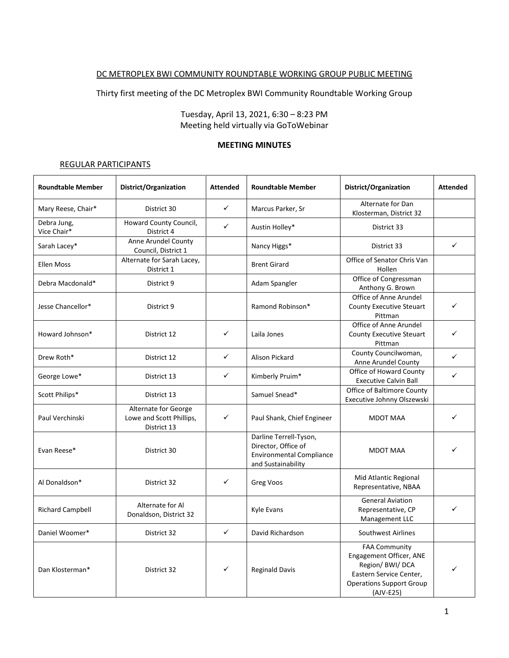# DC METROPLEX BWI COMMUNITY ROUNDTABLE WORKING GROUP PUBLIC MEETING

Thirty first meeting of the DC Metroplex BWI Community Roundtable Working Group

Tuesday, April 13, 2021, 6:30 – 8:23 PM Meeting held virtually via GoToWebinar

### **MEETING MINUTES**

#### REGULAR PARTICIPANTS

| <b>Roundtable Member</b>   | District/Organization                                           | <b>Attended</b> | <b>Roundtable Member</b>                                                                               | District/Organization                                                                                                                          | <b>Attended</b> |
|----------------------------|-----------------------------------------------------------------|-----------------|--------------------------------------------------------------------------------------------------------|------------------------------------------------------------------------------------------------------------------------------------------------|-----------------|
| Mary Reese, Chair*         | District 30                                                     | $\checkmark$    | Marcus Parker, Sr                                                                                      | Alternate for Dan<br>Klosterman, District 32                                                                                                   |                 |
| Debra Jung,<br>Vice Chair* | Howard County Council,<br>District 4                            | ✓               | Austin Holley*                                                                                         | District 33                                                                                                                                    |                 |
| Sarah Lacey*               | Anne Arundel County<br>Council, District 1                      |                 | Nancy Higgs*                                                                                           | District 33                                                                                                                                    | ✓               |
| <b>Ellen Moss</b>          | Alternate for Sarah Lacey,<br>District 1                        |                 | <b>Brent Girard</b>                                                                                    | Office of Senator Chris Van<br>Hollen                                                                                                          |                 |
| Debra Macdonald*           | District 9                                                      |                 | Adam Spangler                                                                                          | Office of Congressman<br>Anthony G. Brown                                                                                                      |                 |
| Jesse Chancellor*          | District 9                                                      |                 | Ramond Robinson*                                                                                       | Office of Anne Arundel<br><b>County Executive Steuart</b><br>Pittman                                                                           | ✓               |
| Howard Johnson*            | District 12                                                     | ✓               | Laila Jones                                                                                            | Office of Anne Arundel<br>County Executive Steuart<br>Pittman                                                                                  | ✓               |
| Drew Roth*                 | District 12                                                     | $\checkmark$    | Alison Pickard                                                                                         | County Councilwoman,<br>Anne Arundel County                                                                                                    | ✓               |
| George Lowe*               | District 13                                                     | $\checkmark$    | Kimberly Pruim*                                                                                        | Office of Howard County<br><b>Executive Calvin Ball</b>                                                                                        | ✓               |
| Scott Philips*             | District 13                                                     |                 | Samuel Snead*                                                                                          | Office of Baltimore County<br>Executive Johnny Olszewski                                                                                       |                 |
| Paul Verchinski            | Alternate for George<br>Lowe and Scott Phillips,<br>District 13 | $\checkmark$    | Paul Shank, Chief Engineer                                                                             | <b>MDOT MAA</b>                                                                                                                                |                 |
| Evan Reese*                | District 30                                                     |                 | Darline Terrell-Tyson,<br>Director, Office of<br><b>Environmental Compliance</b><br>and Sustainability | <b>MDOT MAA</b>                                                                                                                                |                 |
| Al Donaldson*              | District 32                                                     | ✓               | Greg Voos                                                                                              | Mid Atlantic Regional<br>Representative, NBAA                                                                                                  |                 |
| <b>Richard Campbell</b>    | Alternate for Al<br>Donaldson, District 32                      |                 | <b>Kyle Evans</b>                                                                                      | <b>General Aviation</b><br>Representative, CP<br>Management LLC                                                                                | ✓               |
| Daniel Woomer*             | District 32                                                     | ✓               | David Richardson                                                                                       | Southwest Airlines                                                                                                                             |                 |
| Dan Klosterman*            | District 32                                                     | ✓               | <b>Reginald Davis</b>                                                                                  | <b>FAA Community</b><br>Engagement Officer, ANE<br>Region/ BWI/ DCA<br>Eastern Service Center,<br><b>Operations Support Group</b><br>(AJV-E25) |                 |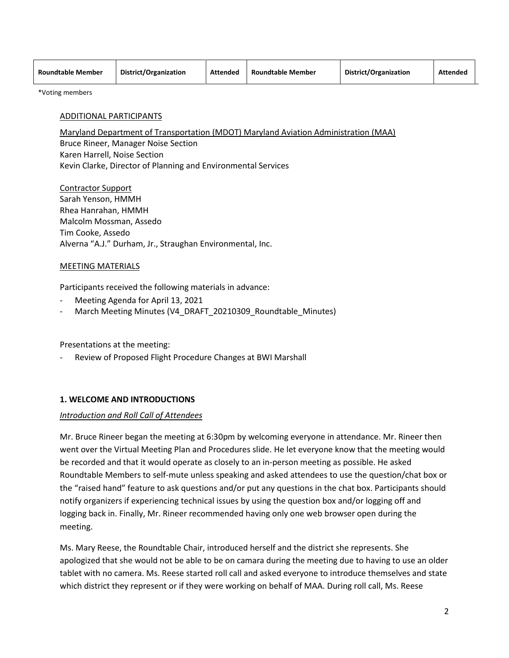| <b>Roundtable Member</b> | District/Organization | <b>Attended</b> | <b>Roundtable Member</b> | District/Organization | Attended |
|--------------------------|-----------------------|-----------------|--------------------------|-----------------------|----------|
|                          |                       |                 |                          |                       |          |

\*Voting members

### ADDITIONAL PARTICIPANTS

Maryland Department of Transportation (MDOT) Maryland Aviation Administration (MAA) Bruce Rineer, Manager Noise Section Karen Harrell, Noise Section Kevin Clarke, Director of Planning and Environmental Services

Contractor Support Sarah Yenson, HMMH Rhea Hanrahan, HMMH Malcolm Mossman, Assedo Tim Cooke, Assedo Alverna "A.J." Durham, Jr., Straughan Environmental, Inc.

#### MEETING MATERIALS

Participants received the following materials in advance:

- Meeting Agenda for April 13, 2021
- March Meeting Minutes (V4\_DRAFT\_20210309\_Roundtable\_Minutes)

Presentations at the meeting:

Review of Proposed Flight Procedure Changes at BWI Marshall

### **1. WELCOME AND INTRODUCTIONS**

#### *Introduction and Roll Call of Attendees*

Mr. Bruce Rineer began the meeting at 6:30pm by welcoming everyone in attendance. Mr. Rineer then went over the Virtual Meeting Plan and Procedures slide. He let everyone know that the meeting would be recorded and that it would operate as closely to an in-person meeting as possible. He asked Roundtable Members to self-mute unless speaking and asked attendees to use the question/chat box or the "raised hand" feature to ask questions and/or put any questions in the chat box. Participants should notify organizers if experiencing technical issues by using the question box and/or logging off and logging back in. Finally, Mr. Rineer recommended having only one web browser open during the meeting.

Ms. Mary Reese, the Roundtable Chair, introduced herself and the district she represents. She apologized that she would not be able to be on camara during the meeting due to having to use an older tablet with no camera. Ms. Reese started roll call and asked everyone to introduce themselves and state which district they represent or if they were working on behalf of MAA. During roll call, Ms. Reese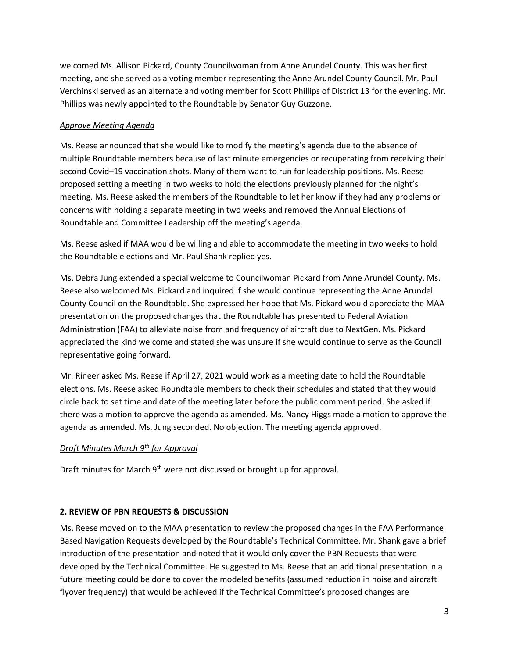welcomed Ms. Allison Pickard, County Councilwoman from Anne Arundel County. This was her first meeting, and she served as a voting member representing the Anne Arundel County Council. Mr. Paul Verchinski served as an alternate and voting member for Scott Phillips of District 13 for the evening. Mr. Phillips was newly appointed to the Roundtable by Senator Guy Guzzone.

# *Approve Meeting Agenda*

Ms. Reese announced that she would like to modify the meeting's agenda due to the absence of multiple Roundtable members because of last minute emergencies or recuperating from receiving their second Covid–19 vaccination shots. Many of them want to run for leadership positions. Ms. Reese proposed setting a meeting in two weeks to hold the elections previously planned for the night's meeting. Ms. Reese asked the members of the Roundtable to let her know if they had any problems or concerns with holding a separate meeting in two weeks and removed the Annual Elections of Roundtable and Committee Leadership off the meeting's agenda.

Ms. Reese asked if MAA would be willing and able to accommodate the meeting in two weeks to hold the Roundtable elections and Mr. Paul Shank replied yes.

Ms. Debra Jung extended a special welcome to Councilwoman Pickard from Anne Arundel County. Ms. Reese also welcomed Ms. Pickard and inquired if she would continue representing the Anne Arundel County Council on the Roundtable. She expressed her hope that Ms. Pickard would appreciate the MAA presentation on the proposed changes that the Roundtable has presented to Federal Aviation Administration (FAA) to alleviate noise from and frequency of aircraft due to NextGen. Ms. Pickard appreciated the kind welcome and stated she was unsure if she would continue to serve as the Council representative going forward.

Mr. Rineer asked Ms. Reese if April 27, 2021 would work as a meeting date to hold the Roundtable elections. Ms. Reese asked Roundtable members to check their schedules and stated that they would circle back to set time and date of the meeting later before the public comment period. She asked if there was a motion to approve the agenda as amended. Ms. Nancy Higgs made a motion to approve the agenda as amended. Ms. Jung seconded. No objection. The meeting agenda approved.

# *Draft Minutes March 9 th for Approval*

Draft minutes for March 9<sup>th</sup> were not discussed or brought up for approval.

# **2. REVIEW OF PBN REQUESTS & DISCUSSION**

Ms. Reese moved on to the MAA presentation to review the proposed changes in the FAA Performance Based Navigation Requests developed by the Roundtable's Technical Committee. Mr. Shank gave a brief introduction of the presentation and noted that it would only cover the PBN Requests that were developed by the Technical Committee. He suggested to Ms. Reese that an additional presentation in a future meeting could be done to cover the modeled benefits (assumed reduction in noise and aircraft flyover frequency) that would be achieved if the Technical Committee's proposed changes are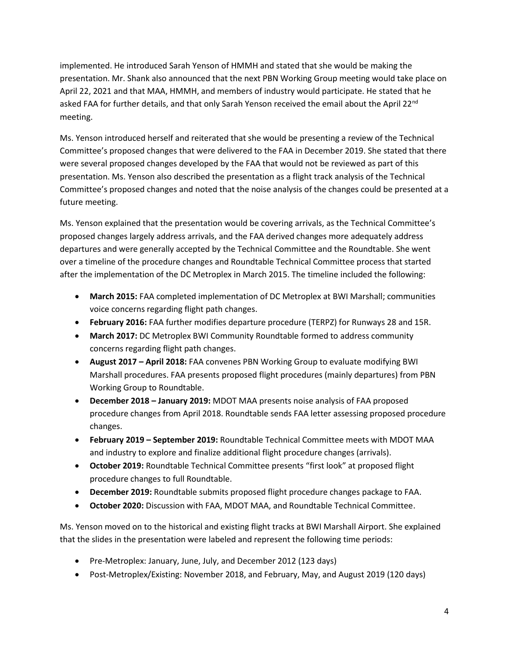implemented. He introduced Sarah Yenson of HMMH and stated that she would be making the presentation. Mr. Shank also announced that the next PBN Working Group meeting would take place on April 22, 2021 and that MAA, HMMH, and members of industry would participate. He stated that he asked FAA for further details, and that only Sarah Yenson received the email about the April 22<sup>nd</sup> meeting.

Ms. Yenson introduced herself and reiterated that she would be presenting a review of the Technical Committee's proposed changes that were delivered to the FAA in December 2019. She stated that there were several proposed changes developed by the FAA that would not be reviewed as part of this presentation. Ms. Yenson also described the presentation as a flight track analysis of the Technical Committee's proposed changes and noted that the noise analysis of the changes could be presented at a future meeting.

Ms. Yenson explained that the presentation would be covering arrivals, as the Technical Committee's proposed changes largely address arrivals, and the FAA derived changes more adequately address departures and were generally accepted by the Technical Committee and the Roundtable. She went over a timeline of the procedure changes and Roundtable Technical Committee process that started after the implementation of the DC Metroplex in March 2015. The timeline included the following:

- **March 2015:** FAA completed implementation of DC Metroplex at BWI Marshall; communities voice concerns regarding flight path changes.
- **February 2016:** FAA further modifies departure procedure (TERPZ) for Runways 28 and 15R.
- **March 2017:** DC Metroplex BWI Community Roundtable formed to address community concerns regarding flight path changes.
- **August 2017 – April 2018:** FAA convenes PBN Working Group to evaluate modifying BWI Marshall procedures. FAA presents proposed flight procedures (mainly departures) from PBN Working Group to Roundtable.
- **December 2018 – January 2019:** MDOT MAA presents noise analysis of FAA proposed procedure changes from April 2018. Roundtable sends FAA letter assessing proposed procedure changes.
- **February 2019 – September 2019:** Roundtable Technical Committee meets with MDOT MAA and industry to explore and finalize additional flight procedure changes (arrivals).
- **October 2019:** Roundtable Technical Committee presents "first look" at proposed flight procedure changes to full Roundtable.
- **December 2019:** Roundtable submits proposed flight procedure changes package to FAA.
- **October 2020:** Discussion with FAA, MDOT MAA, and Roundtable Technical Committee.

Ms. Yenson moved on to the historical and existing flight tracks at BWI Marshall Airport. She explained that the slides in the presentation were labeled and represent the following time periods:

- Pre-Metroplex: January, June, July, and December 2012 (123 days)
- Post-Metroplex/Existing: November 2018, and February, May, and August 2019 (120 days)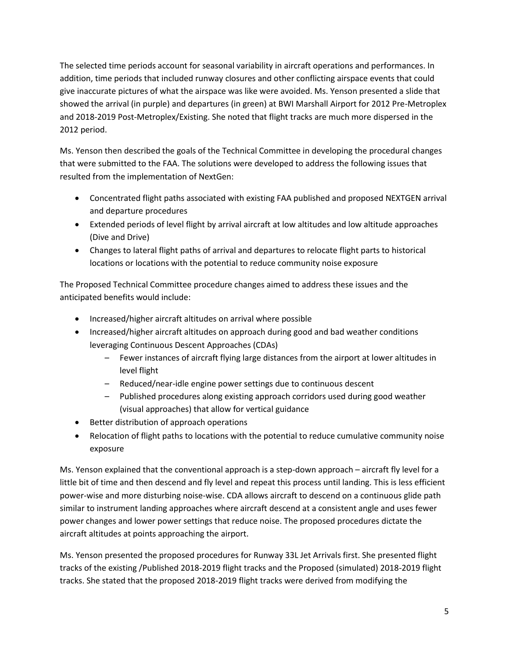The selected time periods account for seasonal variability in aircraft operations and performances. In addition, time periods that included runway closures and other conflicting airspace events that could give inaccurate pictures of what the airspace was like were avoided. Ms. Yenson presented a slide that showed the arrival (in purple) and departures (in green) at BWI Marshall Airport for 2012 Pre-Metroplex and 2018-2019 Post-Metroplex/Existing. She noted that flight tracks are much more dispersed in the 2012 period.

Ms. Yenson then described the goals of the Technical Committee in developing the procedural changes that were submitted to the FAA. The solutions were developed to address the following issues that resulted from the implementation of NextGen:

- Concentrated flight paths associated with existing FAA published and proposed NEXTGEN arrival and departure procedures
- Extended periods of level flight by arrival aircraft at low altitudes and low altitude approaches (Dive and Drive)
- Changes to lateral flight paths of arrival and departures to relocate flight parts to historical locations or locations with the potential to reduce community noise exposure

The Proposed Technical Committee procedure changes aimed to address these issues and the anticipated benefits would include:

- Increased/higher aircraft altitudes on arrival where possible
- Increased/higher aircraft altitudes on approach during good and bad weather conditions leveraging Continuous Descent Approaches (CDAs)
	- Fewer instances of aircraft flying large distances from the airport at lower altitudes in level flight
	- Reduced/near-idle engine power settings due to continuous descent
	- Published procedures along existing approach corridors used during good weather (visual approaches) that allow for vertical guidance
- Better distribution of approach operations
- Relocation of flight paths to locations with the potential to reduce cumulative community noise exposure

Ms. Yenson explained that the conventional approach is a step-down approach – aircraft fly level for a little bit of time and then descend and fly level and repeat this process until landing. This is less efficient power-wise and more disturbing noise-wise. CDA allows aircraft to descend on a continuous glide path similar to instrument landing approaches where aircraft descend at a consistent angle and uses fewer power changes and lower power settings that reduce noise. The proposed procedures dictate the aircraft altitudes at points approaching the airport.

Ms. Yenson presented the proposed procedures for Runway 33L Jet Arrivals first. She presented flight tracks of the existing /Published 2018-2019 flight tracks and the Proposed (simulated) 2018-2019 flight tracks. She stated that the proposed 2018-2019 flight tracks were derived from modifying the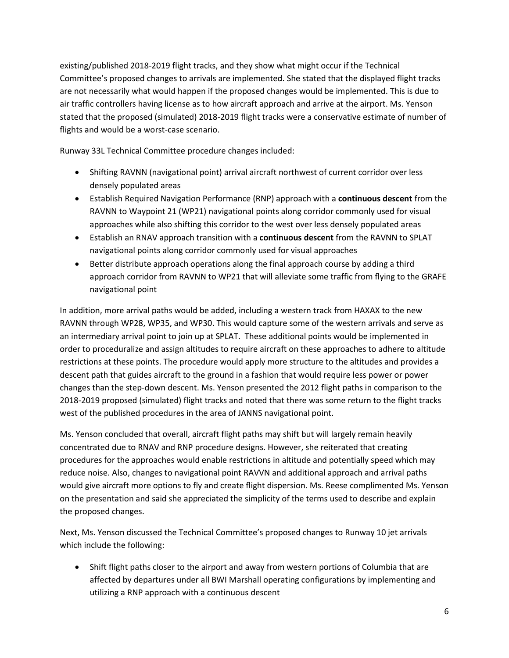existing/published 2018-2019 flight tracks, and they show what might occur if the Technical Committee's proposed changes to arrivals are implemented. She stated that the displayed flight tracks are not necessarily what would happen if the proposed changes would be implemented. This is due to air traffic controllers having license as to how aircraft approach and arrive at the airport. Ms. Yenson stated that the proposed (simulated) 2018-2019 flight tracks were a conservative estimate of number of flights and would be a worst-case scenario.

Runway 33L Technical Committee procedure changes included:

- Shifting RAVNN (navigational point) arrival aircraft northwest of current corridor over less densely populated areas
- Establish Required Navigation Performance (RNP) approach with a **continuous descent** from the RAVNN to Waypoint 21 (WP21) navigational points along corridor commonly used for visual approaches while also shifting this corridor to the west over less densely populated areas
- Establish an RNAV approach transition with a **continuous descent** from the RAVNN to SPLAT navigational points along corridor commonly used for visual approaches
- Better distribute approach operations along the final approach course by adding a third approach corridor from RAVNN to WP21 that will alleviate some traffic from flying to the GRAFE navigational point

In addition, more arrival paths would be added, including a western track from HAXAX to the new RAVNN through WP28, WP35, and WP30. This would capture some of the western arrivals and serve as an intermediary arrival point to join up at SPLAT. These additional points would be implemented in order to proceduralize and assign altitudes to require aircraft on these approaches to adhere to altitude restrictions at these points. The procedure would apply more structure to the altitudes and provides a descent path that guides aircraft to the ground in a fashion that would require less power or power changes than the step-down descent. Ms. Yenson presented the 2012 flight paths in comparison to the 2018-2019 proposed (simulated) flight tracks and noted that there was some return to the flight tracks west of the published procedures in the area of JANNS navigational point.

Ms. Yenson concluded that overall, aircraft flight paths may shift but will largely remain heavily concentrated due to RNAV and RNP procedure designs. However, she reiterated that creating procedures for the approaches would enable restrictions in altitude and potentially speed which may reduce noise. Also, changes to navigational point RAVVN and additional approach and arrival paths would give aircraft more options to fly and create flight dispersion. Ms. Reese complimented Ms. Yenson on the presentation and said she appreciated the simplicity of the terms used to describe and explain the proposed changes.

Next, Ms. Yenson discussed the Technical Committee's proposed changes to Runway 10 jet arrivals which include the following:

• Shift flight paths closer to the airport and away from western portions of Columbia that are affected by departures under all BWI Marshall operating configurations by implementing and utilizing a RNP approach with a continuous descent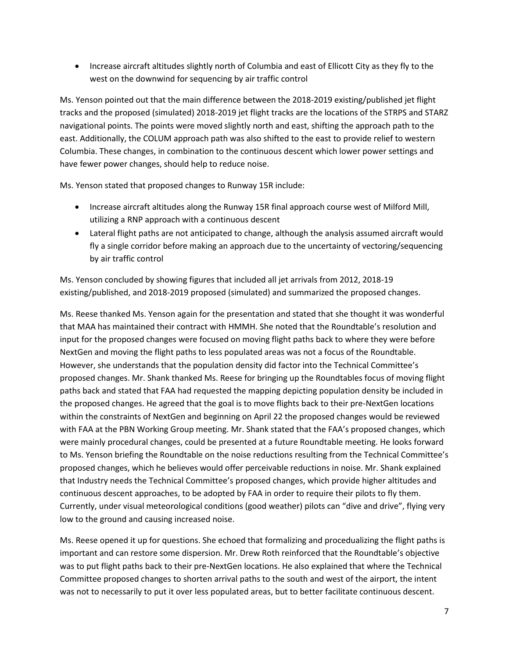• Increase aircraft altitudes slightly north of Columbia and east of Ellicott City as they fly to the west on the downwind for sequencing by air traffic control

Ms. Yenson pointed out that the main difference between the 2018-2019 existing/published jet flight tracks and the proposed (simulated) 2018-2019 jet flight tracks are the locations of the STRPS and STARZ navigational points. The points were moved slightly north and east, shifting the approach path to the east. Additionally, the COLUM approach path was also shifted to the east to provide relief to western Columbia. These changes, in combination to the continuous descent which lower power settings and have fewer power changes, should help to reduce noise.

Ms. Yenson stated that proposed changes to Runway 15R include:

- Increase aircraft altitudes along the Runway 15R final approach course west of Milford Mill, utilizing a RNP approach with a continuous descent
- Lateral flight paths are not anticipated to change, although the analysis assumed aircraft would fly a single corridor before making an approach due to the uncertainty of vectoring/sequencing by air traffic control

Ms. Yenson concluded by showing figures that included all jet arrivals from 2012, 2018-19 existing/published, and 2018-2019 proposed (simulated) and summarized the proposed changes.

Ms. Reese thanked Ms. Yenson again for the presentation and stated that she thought it was wonderful that MAA has maintained their contract with HMMH. She noted that the Roundtable's resolution and input for the proposed changes were focused on moving flight paths back to where they were before NextGen and moving the flight paths to less populated areas was not a focus of the Roundtable. However, she understands that the population density did factor into the Technical Committee's proposed changes. Mr. Shank thanked Ms. Reese for bringing up the Roundtables focus of moving flight paths back and stated that FAA had requested the mapping depicting population density be included in the proposed changes. He agreed that the goal is to move flights back to their pre-NextGen locations within the constraints of NextGen and beginning on April 22 the proposed changes would be reviewed with FAA at the PBN Working Group meeting. Mr. Shank stated that the FAA's proposed changes, which were mainly procedural changes, could be presented at a future Roundtable meeting. He looks forward to Ms. Yenson briefing the Roundtable on the noise reductions resulting from the Technical Committee's proposed changes, which he believes would offer perceivable reductions in noise. Mr. Shank explained that Industry needs the Technical Committee's proposed changes, which provide higher altitudes and continuous descent approaches, to be adopted by FAA in order to require their pilots to fly them. Currently, under visual meteorological conditions (good weather) pilots can "dive and drive", flying very low to the ground and causing increased noise.

Ms. Reese opened it up for questions. She echoed that formalizing and procedualizing the flight paths is important and can restore some dispersion. Mr. Drew Roth reinforced that the Roundtable's objective was to put flight paths back to their pre-NextGen locations. He also explained that where the Technical Committee proposed changes to shorten arrival paths to the south and west of the airport, the intent was not to necessarily to put it over less populated areas, but to better facilitate continuous descent.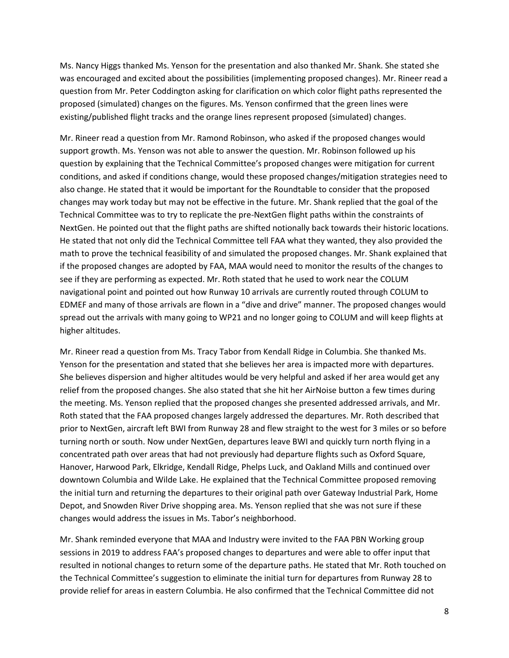Ms. Nancy Higgs thanked Ms. Yenson for the presentation and also thanked Mr. Shank. She stated she was encouraged and excited about the possibilities (implementing proposed changes). Mr. Rineer read a question from Mr. Peter Coddington asking for clarification on which color flight paths represented the proposed (simulated) changes on the figures. Ms. Yenson confirmed that the green lines were existing/published flight tracks and the orange lines represent proposed (simulated) changes.

Mr. Rineer read a question from Mr. Ramond Robinson, who asked if the proposed changes would support growth. Ms. Yenson was not able to answer the question. Mr. Robinson followed up his question by explaining that the Technical Committee's proposed changes were mitigation for current conditions, and asked if conditions change, would these proposed changes/mitigation strategies need to also change. He stated that it would be important for the Roundtable to consider that the proposed changes may work today but may not be effective in the future. Mr. Shank replied that the goal of the Technical Committee was to try to replicate the pre-NextGen flight paths within the constraints of NextGen. He pointed out that the flight paths are shifted notionally back towards their historic locations. He stated that not only did the Technical Committee tell FAA what they wanted, they also provided the math to prove the technical feasibility of and simulated the proposed changes. Mr. Shank explained that if the proposed changes are adopted by FAA, MAA would need to monitor the results of the changes to see if they are performing as expected. Mr. Roth stated that he used to work near the COLUM navigational point and pointed out how Runway 10 arrivals are currently routed through COLUM to EDMEF and many of those arrivals are flown in a "dive and drive" manner. The proposed changes would spread out the arrivals with many going to WP21 and no longer going to COLUM and will keep flights at higher altitudes.

Mr. Rineer read a question from Ms. Tracy Tabor from Kendall Ridge in Columbia. She thanked Ms. Yenson for the presentation and stated that she believes her area is impacted more with departures. She believes dispersion and higher altitudes would be very helpful and asked if her area would get any relief from the proposed changes. She also stated that she hit her AirNoise button a few times during the meeting. Ms. Yenson replied that the proposed changes she presented addressed arrivals, and Mr. Roth stated that the FAA proposed changes largely addressed the departures. Mr. Roth described that prior to NextGen, aircraft left BWI from Runway 28 and flew straight to the west for 3 miles or so before turning north or south. Now under NextGen, departures leave BWI and quickly turn north flying in a concentrated path over areas that had not previously had departure flights such as Oxford Square, Hanover, Harwood Park, Elkridge, Kendall Ridge, Phelps Luck, and Oakland Mills and continued over downtown Columbia and Wilde Lake. He explained that the Technical Committee proposed removing the initial turn and returning the departures to their original path over Gateway Industrial Park, Home Depot, and Snowden River Drive shopping area. Ms. Yenson replied that she was not sure if these changes would address the issues in Ms. Tabor's neighborhood.

Mr. Shank reminded everyone that MAA and Industry were invited to the FAA PBN Working group sessions in 2019 to address FAA's proposed changes to departures and were able to offer input that resulted in notional changes to return some of the departure paths. He stated that Mr. Roth touched on the Technical Committee's suggestion to eliminate the initial turn for departures from Runway 28 to provide relief for areas in eastern Columbia. He also confirmed that the Technical Committee did not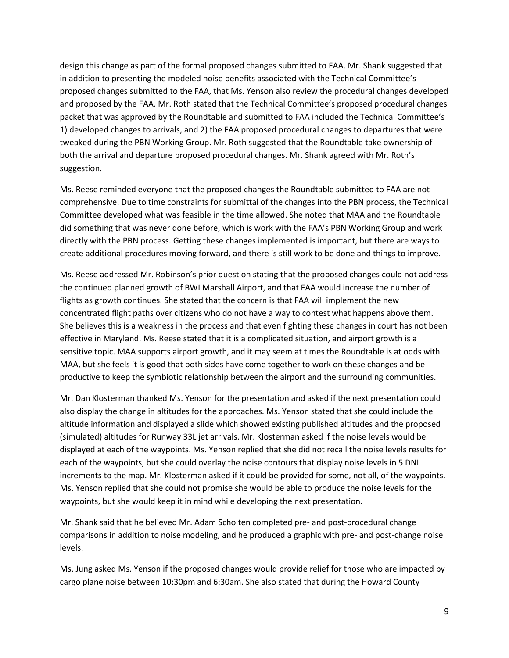design this change as part of the formal proposed changes submitted to FAA. Mr. Shank suggested that in addition to presenting the modeled noise benefits associated with the Technical Committee's proposed changes submitted to the FAA, that Ms. Yenson also review the procedural changes developed and proposed by the FAA. Mr. Roth stated that the Technical Committee's proposed procedural changes packet that was approved by the Roundtable and submitted to FAA included the Technical Committee's 1) developed changes to arrivals, and 2) the FAA proposed procedural changes to departures that were tweaked during the PBN Working Group. Mr. Roth suggested that the Roundtable take ownership of both the arrival and departure proposed procedural changes. Mr. Shank agreed with Mr. Roth's suggestion.

Ms. Reese reminded everyone that the proposed changes the Roundtable submitted to FAA are not comprehensive. Due to time constraints for submittal of the changes into the PBN process, the Technical Committee developed what was feasible in the time allowed. She noted that MAA and the Roundtable did something that was never done before, which is work with the FAA's PBN Working Group and work directly with the PBN process. Getting these changes implemented is important, but there are ways to create additional procedures moving forward, and there is still work to be done and things to improve.

Ms. Reese addressed Mr. Robinson's prior question stating that the proposed changes could not address the continued planned growth of BWI Marshall Airport, and that FAA would increase the number of flights as growth continues. She stated that the concern is that FAA will implement the new concentrated flight paths over citizens who do not have a way to contest what happens above them. She believes this is a weakness in the process and that even fighting these changes in court has not been effective in Maryland. Ms. Reese stated that it is a complicated situation, and airport growth is a sensitive topic. MAA supports airport growth, and it may seem at times the Roundtable is at odds with MAA, but she feels it is good that both sides have come together to work on these changes and be productive to keep the symbiotic relationship between the airport and the surrounding communities.

Mr. Dan Klosterman thanked Ms. Yenson for the presentation and asked if the next presentation could also display the change in altitudes for the approaches. Ms. Yenson stated that she could include the altitude information and displayed a slide which showed existing published altitudes and the proposed (simulated) altitudes for Runway 33L jet arrivals. Mr. Klosterman asked if the noise levels would be displayed at each of the waypoints. Ms. Yenson replied that she did not recall the noise levels results for each of the waypoints, but she could overlay the noise contours that display noise levels in 5 DNL increments to the map. Mr. Klosterman asked if it could be provided for some, not all, of the waypoints. Ms. Yenson replied that she could not promise she would be able to produce the noise levels for the waypoints, but she would keep it in mind while developing the next presentation.

Mr. Shank said that he believed Mr. Adam Scholten completed pre- and post-procedural change comparisons in addition to noise modeling, and he produced a graphic with pre- and post-change noise levels.

Ms. Jung asked Ms. Yenson if the proposed changes would provide relief for those who are impacted by cargo plane noise between 10:30pm and 6:30am. She also stated that during the Howard County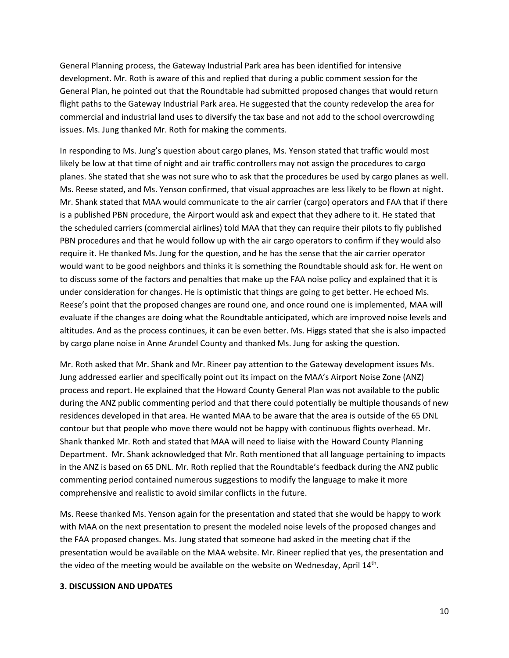General Planning process, the Gateway Industrial Park area has been identified for intensive development. Mr. Roth is aware of this and replied that during a public comment session for the General Plan, he pointed out that the Roundtable had submitted proposed changes that would return flight paths to the Gateway Industrial Park area. He suggested that the county redevelop the area for commercial and industrial land uses to diversify the tax base and not add to the school overcrowding issues. Ms. Jung thanked Mr. Roth for making the comments.

In responding to Ms. Jung's question about cargo planes, Ms. Yenson stated that traffic would most likely be low at that time of night and air traffic controllers may not assign the procedures to cargo planes. She stated that she was not sure who to ask that the procedures be used by cargo planes as well. Ms. Reese stated, and Ms. Yenson confirmed, that visual approaches are less likely to be flown at night. Mr. Shank stated that MAA would communicate to the air carrier (cargo) operators and FAA that if there is a published PBN procedure, the Airport would ask and expect that they adhere to it. He stated that the scheduled carriers (commercial airlines) told MAA that they can require their pilots to fly published PBN procedures and that he would follow up with the air cargo operators to confirm if they would also require it. He thanked Ms. Jung for the question, and he has the sense that the air carrier operator would want to be good neighbors and thinks it is something the Roundtable should ask for. He went on to discuss some of the factors and penalties that make up the FAA noise policy and explained that it is under consideration for changes. He is optimistic that things are going to get better. He echoed Ms. Reese's point that the proposed changes are round one, and once round one is implemented, MAA will evaluate if the changes are doing what the Roundtable anticipated, which are improved noise levels and altitudes. And as the process continues, it can be even better. Ms. Higgs stated that she is also impacted by cargo plane noise in Anne Arundel County and thanked Ms. Jung for asking the question.

Mr. Roth asked that Mr. Shank and Mr. Rineer pay attention to the Gateway development issues Ms. Jung addressed earlier and specifically point out its impact on the MAA's Airport Noise Zone (ANZ) process and report. He explained that the Howard County General Plan was not available to the public during the ANZ public commenting period and that there could potentially be multiple thousands of new residences developed in that area. He wanted MAA to be aware that the area is outside of the 65 DNL contour but that people who move there would not be happy with continuous flights overhead. Mr. Shank thanked Mr. Roth and stated that MAA will need to liaise with the Howard County Planning Department. Mr. Shank acknowledged that Mr. Roth mentioned that all language pertaining to impacts in the ANZ is based on 65 DNL. Mr. Roth replied that the Roundtable's feedback during the ANZ public commenting period contained numerous suggestions to modify the language to make it more comprehensive and realistic to avoid similar conflicts in the future.

Ms. Reese thanked Ms. Yenson again for the presentation and stated that she would be happy to work with MAA on the next presentation to present the modeled noise levels of the proposed changes and the FAA proposed changes. Ms. Jung stated that someone had asked in the meeting chat if the presentation would be available on the MAA website. Mr. Rineer replied that yes, the presentation and the video of the meeting would be available on the website on Wednesday, April 14<sup>th</sup>.

#### **3. DISCUSSION AND UPDATES**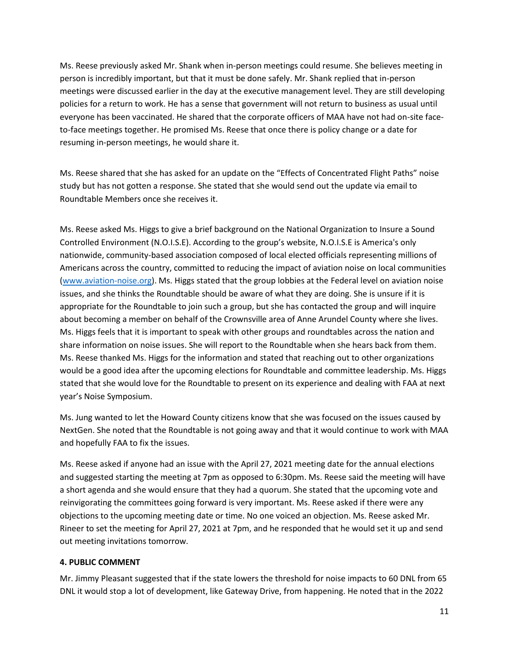Ms. Reese previously asked Mr. Shank when in-person meetings could resume. She believes meeting in person is incredibly important, but that it must be done safely. Mr. Shank replied that in-person meetings were discussed earlier in the day at the executive management level. They are still developing policies for a return to work. He has a sense that government will not return to business as usual until everyone has been vaccinated. He shared that the corporate officers of MAA have not had on-site faceto-face meetings together. He promised Ms. Reese that once there is policy change or a date for resuming in-person meetings, he would share it.

Ms. Reese shared that she has asked for an update on the "Effects of Concentrated Flight Paths" noise study but has not gotten a response. She stated that she would send out the update via email to Roundtable Members once she receives it.

Ms. Reese asked Ms. Higgs to give a brief background on the National Organization to Insure a Sound Controlled Environment (N.O.I.S.E). According to the group's website, N.O.I.S.E is America's only nationwide, community-based association composed of local elected officials representing millions of Americans across the country, committed to reducing the impact of aviation noise on local communities [\(www.aviation-noise.org\)](http://www.aviation-noise.org/). Ms. Higgs stated that the group lobbies at the Federal level on aviation noise issues, and she thinks the Roundtable should be aware of what they are doing. She is unsure if it is appropriate for the Roundtable to join such a group, but she has contacted the group and will inquire about becoming a member on behalf of the Crownsville area of Anne Arundel County where she lives. Ms. Higgs feels that it is important to speak with other groups and roundtables across the nation and share information on noise issues. She will report to the Roundtable when she hears back from them. Ms. Reese thanked Ms. Higgs for the information and stated that reaching out to other organizations would be a good idea after the upcoming elections for Roundtable and committee leadership. Ms. Higgs stated that she would love for the Roundtable to present on its experience and dealing with FAA at next year's Noise Symposium.

Ms. Jung wanted to let the Howard County citizens know that she was focused on the issues caused by NextGen. She noted that the Roundtable is not going away and that it would continue to work with MAA and hopefully FAA to fix the issues.

Ms. Reese asked if anyone had an issue with the April 27, 2021 meeting date for the annual elections and suggested starting the meeting at 7pm as opposed to 6:30pm. Ms. Reese said the meeting will have a short agenda and she would ensure that they had a quorum. She stated that the upcoming vote and reinvigorating the committees going forward is very important. Ms. Reese asked if there were any objections to the upcoming meeting date or time. No one voiced an objection. Ms. Reese asked Mr. Rineer to set the meeting for April 27, 2021 at 7pm, and he responded that he would set it up and send out meeting invitations tomorrow.

### **4. PUBLIC COMMENT**

Mr. Jimmy Pleasant suggested that if the state lowers the threshold for noise impacts to 60 DNL from 65 DNL it would stop a lot of development, like Gateway Drive, from happening. He noted that in the 2022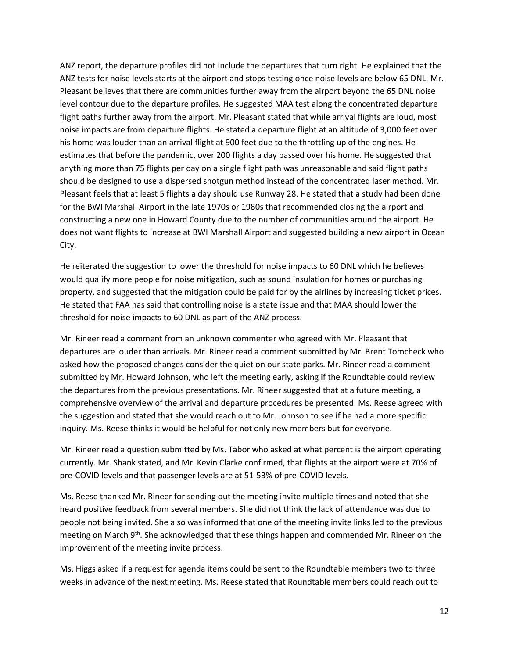ANZ report, the departure profiles did not include the departures that turn right. He explained that the ANZ tests for noise levels starts at the airport and stops testing once noise levels are below 65 DNL. Mr. Pleasant believes that there are communities further away from the airport beyond the 65 DNL noise level contour due to the departure profiles. He suggested MAA test along the concentrated departure flight paths further away from the airport. Mr. Pleasant stated that while arrival flights are loud, most noise impacts are from departure flights. He stated a departure flight at an altitude of 3,000 feet over his home was louder than an arrival flight at 900 feet due to the throttling up of the engines. He estimates that before the pandemic, over 200 flights a day passed over his home. He suggested that anything more than 75 flights per day on a single flight path was unreasonable and said flight paths should be designed to use a dispersed shotgun method instead of the concentrated laser method. Mr. Pleasant feels that at least 5 flights a day should use Runway 28. He stated that a study had been done for the BWI Marshall Airport in the late 1970s or 1980s that recommended closing the airport and constructing a new one in Howard County due to the number of communities around the airport. He does not want flights to increase at BWI Marshall Airport and suggested building a new airport in Ocean City.

He reiterated the suggestion to lower the threshold for noise impacts to 60 DNL which he believes would qualify more people for noise mitigation, such as sound insulation for homes or purchasing property, and suggested that the mitigation could be paid for by the airlines by increasing ticket prices. He stated that FAA has said that controlling noise is a state issue and that MAA should lower the threshold for noise impacts to 60 DNL as part of the ANZ process.

Mr. Rineer read a comment from an unknown commenter who agreed with Mr. Pleasant that departures are louder than arrivals. Mr. Rineer read a comment submitted by Mr. Brent Tomcheck who asked how the proposed changes consider the quiet on our state parks. Mr. Rineer read a comment submitted by Mr. Howard Johnson, who left the meeting early, asking if the Roundtable could review the departures from the previous presentations. Mr. Rineer suggested that at a future meeting, a comprehensive overview of the arrival and departure procedures be presented. Ms. Reese agreed with the suggestion and stated that she would reach out to Mr. Johnson to see if he had a more specific inquiry. Ms. Reese thinks it would be helpful for not only new members but for everyone.

Mr. Rineer read a question submitted by Ms. Tabor who asked at what percent is the airport operating currently. Mr. Shank stated, and Mr. Kevin Clarke confirmed, that flights at the airport were at 70% of pre-COVID levels and that passenger levels are at 51-53% of pre-COVID levels.

Ms. Reese thanked Mr. Rineer for sending out the meeting invite multiple times and noted that she heard positive feedback from several members. She did not think the lack of attendance was due to people not being invited. She also was informed that one of the meeting invite links led to the previous meeting on March 9<sup>th</sup>. She acknowledged that these things happen and commended Mr. Rineer on the improvement of the meeting invite process.

Ms. Higgs asked if a request for agenda items could be sent to the Roundtable members two to three weeks in advance of the next meeting. Ms. Reese stated that Roundtable members could reach out to